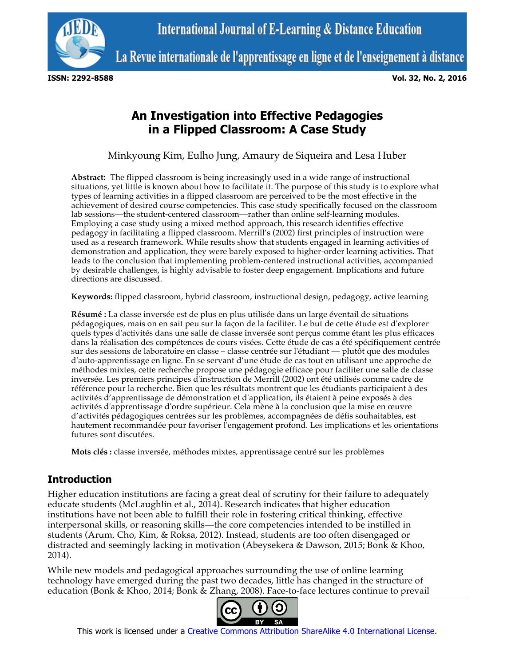

La Revue internationale de l'apprentissage en ligne et de l'enseignement à distance

**ISSN: 2292-8588 Vol. 32, No. 2, 2016**

# **An Investigation into Effective Pedagogies in a Flipped Classroom: A Case Study**

Minkyoung Kim, Eulho Jung, Amaury de Siqueira and Lesa Huber

**Abstract:** The flipped classroom is being increasingly used in a wide range of instructional situations, yet little is known about how to facilitate it. The purpose of this study is to explore what types of learning activities in a flipped classroom are perceived to be the most effective in the achievement of desired course competencies. This case study specifically focused on the classroom lab sessions—the student-centered classroom—rather than online self-learning modules. Employing a case study using a mixed method approach, this research identifies effective pedagogy in facilitating a flipped classroom. Merrill's (2002) first principles of instruction were used as a research framework. While results show that students engaged in learning activities of demonstration and application, they were barely exposed to higher-order learning activities. That leads to the conclusion that implementing problem-centered instructional activities, accompanied by desirable challenges, is highly advisable to foster deep engagement. Implications and future directions are discussed.

**Keywords:** flipped classroom, hybrid classroom, instructional design, pedagogy, active learning

**Résumé :** La classe inversée est de plus en plus utilisée dans un large éventail de situations pédagogiques, mais on en sait peu sur la façon de la faciliter. Le but de cette étude est d'explorer quels types d'activités dans une salle de classe inversée sont perçus comme étant les plus efficaces dans la réalisation des compétences de cours visées. Cette étude de cas a été spécifiquement centrée sur des sessions de laboratoire en classe – classe centrée sur l'étudiant — plutôt que des modules d'auto-apprentissage en ligne. En se servant d'une étude de cas tout en utilisant une approche de méthodes mixtes, cette recherche propose une pédagogie efficace pour faciliter une salle de classe inversée. Les premiers principes d'instruction de Merrill (2002) ont été utilisés comme cadre de référence pour la recherche. Bien que les résultats montrent que les étudiants participaient à des activités d'apprentissage de démonstration et d'application, ils étaient à peine exposés à des activités d'apprentissage d'ordre supérieur. Cela mène à la conclusion que la mise en œuvre d'activités pédagogiques centrées sur les problèmes, accompagnées de défis souhaitables, est hautement recommandée pour favoriser l'engagement profond. Les implications et les orientations futures sont discutées.

**Mots clés :** classe inversée, méthodes mixtes, apprentissage centré sur les problèmes

# **Introduction**

Higher education institutions are facing a great deal of scrutiny for their failure to adequately educate students (McLaughlin et al., 2014). Research indicates that higher education institutions have not been able to fulfill their role in fostering critical thinking, effective interpersonal skills, or reasoning skills—the core competencies intended to be instilled in students (Arum, Cho, Kim, & Roksa, 2012). Instead, students are too often disengaged or distracted and seemingly lacking in motivation (Abeysekera & Dawson, 2015; Bonk & Khoo, 2014).

While new models and pedagogical approaches surrounding the use of online learning technology have emerged during the past two decades, little has changed in the structure of education (Bonk & Khoo, 2014; Bonk & Zhang, 2008). Face-to-face lectures continue to prevail



This work is licensed under a Creative Commons Attribution ShareAlike 4.0 International License.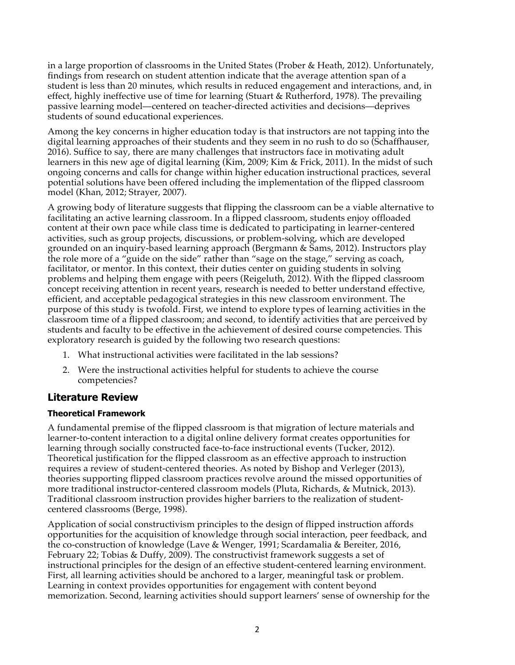in a large proportion of classrooms in the United States (Prober & Heath, 2012). Unfortunately, findings from research on student attention indicate that the average attention span of a student is less than 20 minutes, which results in reduced engagement and interactions, and, in effect, highly ineffective use of time for learning (Stuart & Rutherford, 1978). The prevailing passive learning model—centered on teacher-directed activities and decisions—deprives students of sound educational experiences.

Among the key concerns in higher education today is that instructors are not tapping into the digital learning approaches of their students and they seem in no rush to do so (Schaffhauser, 2016). Suffice to say, there are many challenges that instructors face in motivating adult learners in this new age of digital learning (Kim, 2009; Kim & Frick, 2011). In the midst of such ongoing concerns and calls for change within higher education instructional practices, several potential solutions have been offered including the implementation of the flipped classroom model (Khan, 2012; Strayer, 2007).

A growing body of literature suggests that flipping the classroom can be a viable alternative to facilitating an active learning classroom. In a flipped classroom, students enjoy offloaded content at their own pace while class time is dedicated to participating in learner-centered activities, such as group projects, discussions, or problem-solving, which are developed grounded on an inquiry-based learning approach (Bergmann & Sams, 2012). Instructors play the role more of a "guide on the side" rather than "sage on the stage," serving as coach, facilitator, or mentor. In this context, their duties center on guiding students in solving problems and helping them engage with peers (Reigeluth, 2012). With the flipped classroom concept receiving attention in recent years, research is needed to better understand effective, efficient, and acceptable pedagogical strategies in this new classroom environment. The purpose of this study is twofold. First, we intend to explore types of learning activities in the classroom time of a flipped classroom; and second, to identify activities that are perceived by students and faculty to be effective in the achievement of desired course competencies. This exploratory research is guided by the following two research questions:

- 1. What instructional activities were facilitated in the lab sessions?
- 2. Were the instructional activities helpful for students to achieve the course competencies?

# **Literature Review**

### **Theoretical Framework**

A fundamental premise of the flipped classroom is that migration of lecture materials and learner-to-content interaction to a digital online delivery format creates opportunities for learning through socially constructed face-to-face instructional events (Tucker, 2012). Theoretical justification for the flipped classroom as an effective approach to instruction requires a review of student-centered theories. As noted by Bishop and Verleger (2013), theories supporting flipped classroom practices revolve around the missed opportunities of more traditional instructor-centered classroom models (Pluta, Richards, & Mutnick, 2013). Traditional classroom instruction provides higher barriers to the realization of studentcentered classrooms (Berge, 1998).

Application of social constructivism principles to the design of flipped instruction affords opportunities for the acquisition of knowledge through social interaction, peer feedback, and the co-construction of knowledge (Lave & Wenger, 1991; Scardamalia & Bereiter, 2016, February 22; Tobias & Duffy, 2009). The constructivist framework suggests a set of instructional principles for the design of an effective student-centered learning environment. First, all learning activities should be anchored to a larger, meaningful task or problem. Learning in context provides opportunities for engagement with content beyond memorization. Second, learning activities should support learners' sense of ownership for the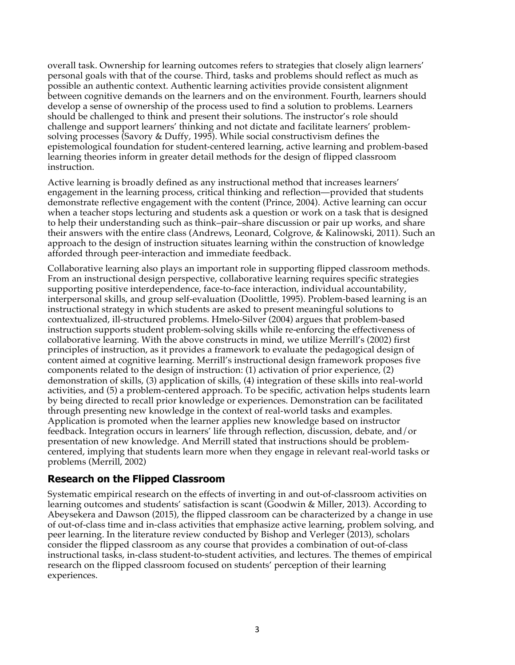overall task. Ownership for learning outcomes refers to strategies that closely align learners' personal goals with that of the course. Third, tasks and problems should reflect as much as possible an authentic context. Authentic learning activities provide consistent alignment between cognitive demands on the learners and on the environment. Fourth, learners should develop a sense of ownership of the process used to find a solution to problems. Learners should be challenged to think and present their solutions. The instructor's role should challenge and support learners' thinking and not dictate and facilitate learners' problemsolving processes (Savory & Duffy, 1995). While social constructivism defines the epistemological foundation for student-centered learning, active learning and problem-based learning theories inform in greater detail methods for the design of flipped classroom instruction.

Active learning is broadly defined as any instructional method that increases learners' engagement in the learning process, critical thinking and reflection—provided that students demonstrate reflective engagement with the content (Prince, 2004). Active learning can occur when a teacher stops lecturing and students ask a question or work on a task that is designed to help their understanding such as think–pair–share discussion or pair up works, and share their answers with the entire class (Andrews, Leonard, Colgrove, & Kalinowski, 2011). Such an approach to the design of instruction situates learning within the construction of knowledge afforded through peer-interaction and immediate feedback.

Collaborative learning also plays an important role in supporting flipped classroom methods. From an instructional design perspective, collaborative learning requires specific strategies supporting positive interdependence, face-to-face interaction, individual accountability, interpersonal skills, and group self-evaluation (Doolittle, 1995). Problem-based learning is an instructional strategy in which students are asked to present meaningful solutions to contextualized, ill-structured problems. Hmelo-Silver (2004) argues that problem-based instruction supports student problem-solving skills while re-enforcing the effectiveness of collaborative learning. With the above constructs in mind, we utilize Merrill's (2002) first principles of instruction, as it provides a framework to evaluate the pedagogical design of content aimed at cognitive learning. Merrill's instructional design framework proposes five components related to the design of instruction: (1) activation of prior experience, (2) demonstration of skills, (3) application of skills, (4) integration of these skills into real-world activities, and (5) a problem-centered approach. To be specific, activation helps students learn by being directed to recall prior knowledge or experiences. Demonstration can be facilitated through presenting new knowledge in the context of real-world tasks and examples. Application is promoted when the learner applies new knowledge based on instructor feedback. Integration occurs in learners' life through reflection, discussion, debate, and/or presentation of new knowledge. And Merrill stated that instructions should be problemcentered, implying that students learn more when they engage in relevant real-world tasks or problems (Merrill, 2002)

### **Research on the Flipped Classroom**

Systematic empirical research on the effects of inverting in and out-of-classroom activities on learning outcomes and students' satisfaction is scant (Goodwin & Miller, 2013). According to Abeysekera and Dawson (2015), the flipped classroom can be characterized by a change in use of out-of-class time and in-class activities that emphasize active learning, problem solving, and peer learning. In the literature review conducted by Bishop and Verleger (2013), scholars consider the flipped classroom as any course that provides a combination of out-of-class instructional tasks, in-class student-to-student activities, and lectures. The themes of empirical research on the flipped classroom focused on students' perception of their learning experiences.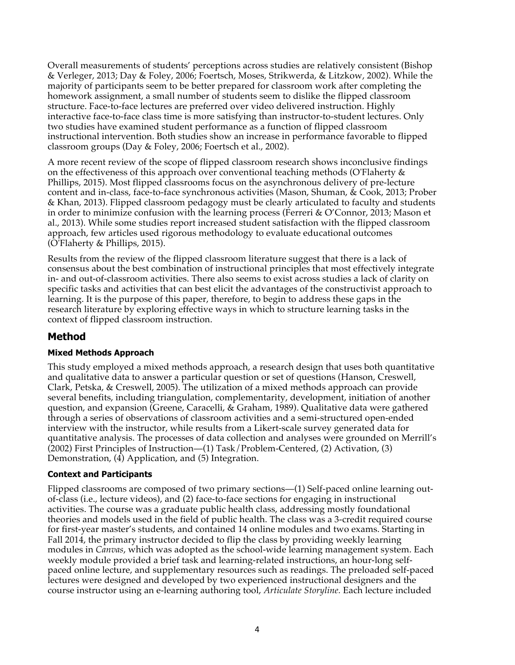Overall measurements of students' perceptions across studies are relatively consistent (Bishop & Verleger, 2013; Day & Foley, 2006; Foertsch, Moses, Strikwerda, & Litzkow, 2002). While the majority of participants seem to be better prepared for classroom work after completing the homework assignment, a small number of students seem to dislike the flipped classroom structure. Face-to-face lectures are preferred over video delivered instruction. Highly interactive face-to-face class time is more satisfying than instructor-to-student lectures. Only two studies have examined student performance as a function of flipped classroom instructional intervention. Both studies show an increase in performance favorable to flipped classroom groups (Day & Foley, 2006; Foertsch et al., 2002).

A more recent review of the scope of flipped classroom research shows inconclusive findings on the effectiveness of this approach over conventional teaching methods (O'Flaherty & Phillips, 2015). Most flipped classrooms focus on the asynchronous delivery of pre-lecture content and in-class, face-to-face synchronous activities (Mason, Shuman, & Cook, 2013; Prober & Khan, 2013). Flipped classroom pedagogy must be clearly articulated to faculty and students in order to minimize confusion with the learning process (Ferreri & O'Connor, 2013; Mason et al., 2013). While some studies report increased student satisfaction with the flipped classroom approach, few articles used rigorous methodology to evaluate educational outcomes (O'Flaherty & Phillips, 2015).

Results from the review of the flipped classroom literature suggest that there is a lack of consensus about the best combination of instructional principles that most effectively integrate in- and out-of-classroom activities. There also seems to exist across studies a lack of clarity on specific tasks and activities that can best elicit the advantages of the constructivist approach to learning. It is the purpose of this paper, therefore, to begin to address these gaps in the research literature by exploring effective ways in which to structure learning tasks in the context of flipped classroom instruction.

# **Method**

### **Mixed Methods Approach**

This study employed a mixed methods approach, a research design that uses both quantitative and qualitative data to answer a particular question or set of questions (Hanson, Creswell, Clark, Petska, & Creswell, 2005). The utilization of a mixed methods approach can provide several benefits, including triangulation, complementarity, development, initiation of another question, and expansion (Greene, Caracelli, & Graham, 1989). Qualitative data were gathered through a series of observations of classroom activities and a semi-structured open-ended interview with the instructor, while results from a Likert-scale survey generated data for quantitative analysis. The processes of data collection and analyses were grounded on Merrill's (2002) First Principles of Instruction—(1) Task/Problem-Centered, (2) Activation, (3) Demonstration, (4) Application, and (5) Integration.

### **Context and Participants**

Flipped classrooms are composed of two primary sections—(1) Self-paced online learning outof-class (i.e., lecture videos), and (2) face-to-face sections for engaging in instructional activities. The course was a graduate public health class, addressing mostly foundational theories and models used in the field of public health. The class was a 3-credit required course for first-year master's students, and contained 14 online modules and two exams. Starting in Fall 2014, the primary instructor decided to flip the class by providing weekly learning modules in *Canvas*, which was adopted as the school-wide learning management system. Each weekly module provided a brief task and learning-related instructions, an hour-long selfpaced online lecture, and supplementary resources such as readings. The preloaded self-paced lectures were designed and developed by two experienced instructional designers and the course instructor using an e-learning authoring tool, *Articulate Storyline.* Each lecture included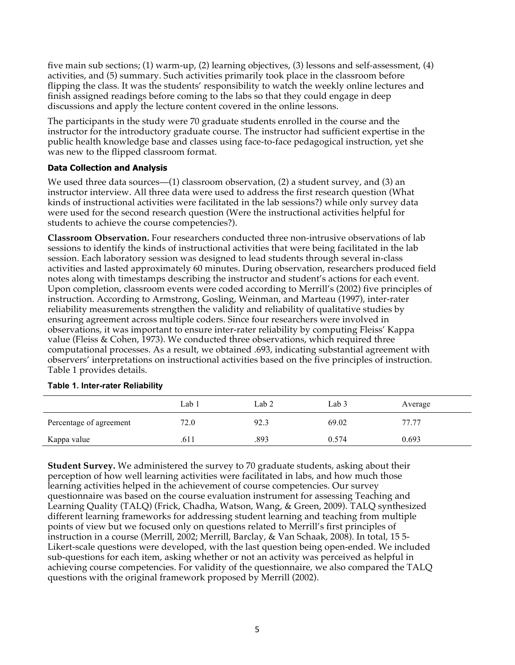five main sub sections; (1) warm-up, (2) learning objectives, (3) lessons and self-assessment, (4) activities, and (5) summary. Such activities primarily took place in the classroom before flipping the class. It was the students' responsibility to watch the weekly online lectures and finish assigned readings before coming to the labs so that they could engage in deep discussions and apply the lecture content covered in the online lessons.

The participants in the study were 70 graduate students enrolled in the course and the instructor for the introductory graduate course. The instructor had sufficient expertise in the public health knowledge base and classes using face-to-face pedagogical instruction, yet she was new to the flipped classroom format.

### **Data Collection and Analysis**

We used three data sources—(1) classroom observation, (2) a student survey, and (3) an instructor interview. All three data were used to address the first research question (What kinds of instructional activities were facilitated in the lab sessions?) while only survey data were used for the second research question (Were the instructional activities helpful for students to achieve the course competencies?).

**Classroom Observation.** Four researchers conducted three non-intrusive observations of lab sessions to identify the kinds of instructional activities that were being facilitated in the lab session. Each laboratory session was designed to lead students through several in-class activities and lasted approximately 60 minutes. During observation, researchers produced field notes along with timestamps describing the instructor and student's actions for each event. Upon completion, classroom events were coded according to Merrill's (2002) five principles of instruction. According to Armstrong, Gosling, Weinman, and Marteau (1997), inter-rater reliability measurements strengthen the validity and reliability of qualitative studies by ensuring agreement across multiple coders. Since four researchers were involved in observations, it was important to ensure inter-rater reliability by computing Fleiss' Kappa value (Fleiss & Cohen, 1973). We conducted three observations, which required three computational processes. As a result, we obtained .693, indicating substantial agreement with observers' interpretations on instructional activities based on the five principles of instruction. Table 1 provides details.

|                         | Lab 1 | Lab 2 | Lab 3 | Average |
|-------------------------|-------|-------|-------|---------|
| Percentage of agreement | 72.0  | 92.3  | 69.02 | 77.77   |
| Kappa value             | .611  | .893  | 0.574 | 0.693   |

#### **Table 1. Inter-rater Reliability**

**Student Survey.** We administered the survey to 70 graduate students, asking about their perception of how well learning activities were facilitated in labs, and how much those learning activities helped in the achievement of course competencies. Our survey questionnaire was based on the course evaluation instrument for assessing Teaching and Learning Quality (TALQ) (Frick, Chadha, Watson, Wang, & Green, 2009). TALQ synthesized different learning frameworks for addressing student learning and teaching from multiple points of view but we focused only on questions related to Merrill's first principles of instruction in a course (Merrill, 2002; Merrill, Barclay, & Van Schaak, 2008). In total, 15 5- Likert-scale questions were developed, with the last question being open-ended. We included sub-questions for each item, asking whether or not an activity was perceived as helpful in achieving course competencies. For validity of the questionnaire, we also compared the TALQ questions with the original framework proposed by Merrill (2002).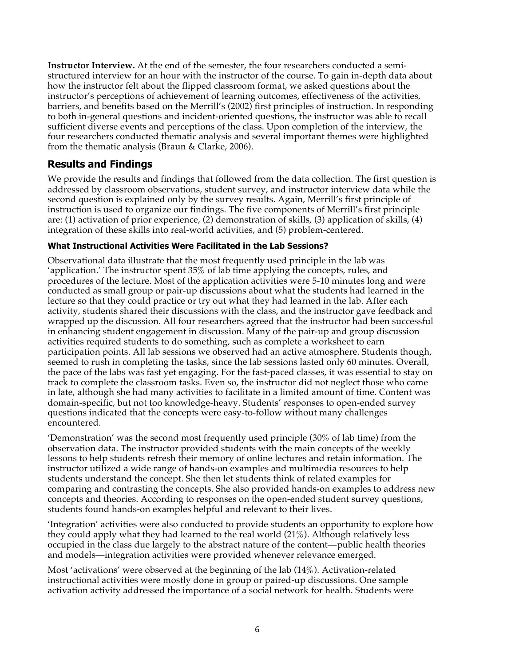**Instructor Interview.** At the end of the semester, the four researchers conducted a semistructured interview for an hour with the instructor of the course. To gain in-depth data about how the instructor felt about the flipped classroom format, we asked questions about the instructor's perceptions of achievement of learning outcomes, effectiveness of the activities, barriers, and benefits based on the Merrill's (2002) first principles of instruction. In responding to both in-general questions and incident-oriented questions, the instructor was able to recall sufficient diverse events and perceptions of the class. Upon completion of the interview, the four researchers conducted thematic analysis and several important themes were highlighted from the thematic analysis (Braun & Clarke, 2006).

### **Results and Findings**

We provide the results and findings that followed from the data collection. The first question is addressed by classroom observations, student survey, and instructor interview data while the second question is explained only by the survey results. Again, Merrill's first principle of instruction is used to organize our findings. The five components of Merrill's first principle are: (1) activation of prior experience, (2) demonstration of skills, (3) application of skills, (4) integration of these skills into real-world activities, and (5) problem-centered.

### **What Instructional Activities Were Facilitated in the Lab Sessions?**

Observational data illustrate that the most frequently used principle in the lab was 'application.' The instructor spent 35% of lab time applying the concepts, rules, and procedures of the lecture. Most of the application activities were 5-10 minutes long and were conducted as small group or pair-up discussions about what the students had learned in the lecture so that they could practice or try out what they had learned in the lab. After each activity, students shared their discussions with the class, and the instructor gave feedback and wrapped up the discussion. All four researchers agreed that the instructor had been successful in enhancing student engagement in discussion. Many of the pair-up and group discussion activities required students to do something, such as complete a worksheet to earn participation points. All lab sessions we observed had an active atmosphere. Students though, seemed to rush in completing the tasks, since the lab sessions lasted only 60 minutes. Overall, the pace of the labs was fast yet engaging. For the fast-paced classes, it was essential to stay on track to complete the classroom tasks. Even so, the instructor did not neglect those who came in late, although she had many activities to facilitate in a limited amount of time. Content was domain-specific, but not too knowledge-heavy. Students' responses to open-ended survey questions indicated that the concepts were easy-to-follow without many challenges encountered.

'Demonstration' was the second most frequently used principle (30% of lab time) from the observation data. The instructor provided students with the main concepts of the weekly lessons to help students refresh their memory of online lectures and retain information. The instructor utilized a wide range of hands-on examples and multimedia resources to help students understand the concept. She then let students think of related examples for comparing and contrasting the concepts. She also provided hands-on examples to address new concepts and theories. According to responses on the open-ended student survey questions, students found hands-on examples helpful and relevant to their lives.

'Integration' activities were also conducted to provide students an opportunity to explore how they could apply what they had learned to the real world (21%). Although relatively less occupied in the class due largely to the abstract nature of the content—public health theories and models—integration activities were provided whenever relevance emerged.

Most 'activations' were observed at the beginning of the lab (14%). Activation-related instructional activities were mostly done in group or paired-up discussions. One sample activation activity addressed the importance of a social network for health. Students were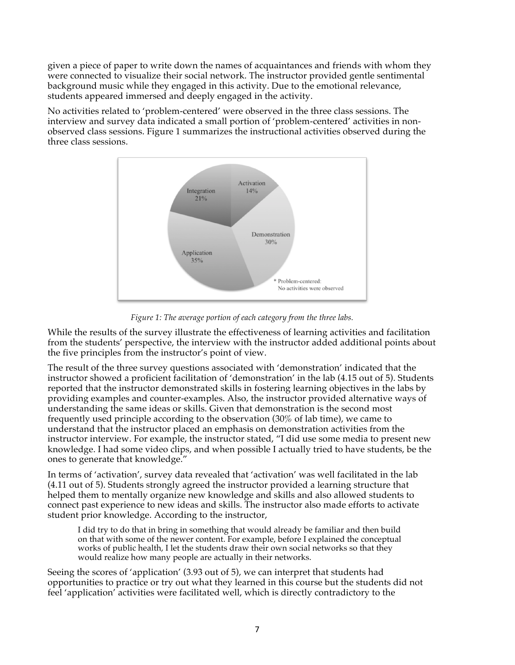given a piece of paper to write down the names of acquaintances and friends with whom they were connected to visualize their social network. The instructor provided gentle sentimental background music while they engaged in this activity. Due to the emotional relevance, students appeared immersed and deeply engaged in the activity.

No activities related to 'problem-centered' were observed in the three class sessions. The interview and survey data indicated a small portion of 'problem-centered' activities in nonobserved class sessions. Figure 1 summarizes the instructional activities observed during the three class sessions.



*Figure 1: The average portion of each category from the three labs.*

While the results of the survey illustrate the effectiveness of learning activities and facilitation from the students' perspective, the interview with the instructor added additional points about the five principles from the instructor's point of view.

The result of the three survey questions associated with 'demonstration' indicated that the instructor showed a proficient facilitation of 'demonstration' in the lab (4.15 out of 5). Students reported that the instructor demonstrated skills in fostering learning objectives in the labs by providing examples and counter-examples. Also, the instructor provided alternative ways of understanding the same ideas or skills. Given that demonstration is the second most frequently used principle according to the observation (30% of lab time), we came to understand that the instructor placed an emphasis on demonstration activities from the instructor interview. For example, the instructor stated, "I did use some media to present new knowledge. I had some video clips, and when possible I actually tried to have students, be the ones to generate that knowledge."

In terms of 'activation', survey data revealed that 'activation' was well facilitated in the lab (4.11 out of 5). Students strongly agreed the instructor provided a learning structure that helped them to mentally organize new knowledge and skills and also allowed students to connect past experience to new ideas and skills. The instructor also made efforts to activate student prior knowledge. According to the instructor,

I did try to do that in bring in something that would already be familiar and then build on that with some of the newer content. For example, before I explained the conceptual works of public health, I let the students draw their own social networks so that they would realize how many people are actually in their networks.

Seeing the scores of 'application' (3.93 out of 5), we can interpret that students had opportunities to practice or try out what they learned in this course but the students did not feel 'application' activities were facilitated well, which is directly contradictory to the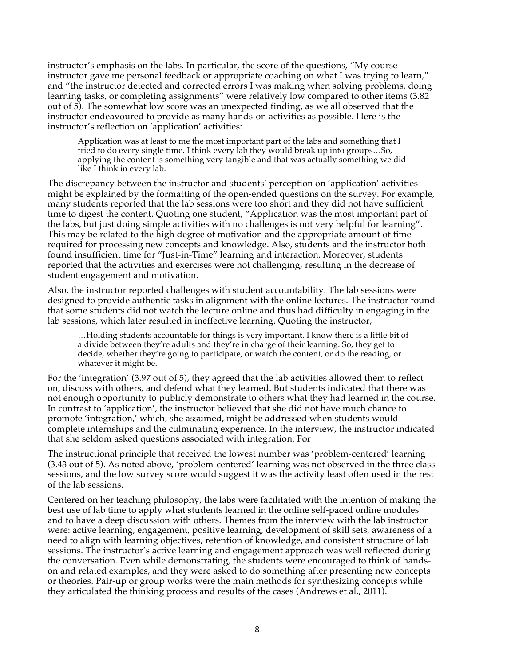instructor's emphasis on the labs. In particular, the score of the questions, "My course instructor gave me personal feedback or appropriate coaching on what I was trying to learn," and "the instructor detected and corrected errors I was making when solving problems, doing learning tasks, or completing assignments" were relatively low compared to other items (3.82 out of 5). The somewhat low score was an unexpected finding, as we all observed that the instructor endeavoured to provide as many hands-on activities as possible. Here is the instructor's reflection on 'application' activities:

Application was at least to me the most important part of the labs and something that I tried to do every single time. I think every lab they would break up into groups…So, applying the content is something very tangible and that was actually something we did like I think in every lab.

The discrepancy between the instructor and students' perception on 'application' activities might be explained by the formatting of the open-ended questions on the survey. For example, many students reported that the lab sessions were too short and they did not have sufficient time to digest the content. Quoting one student, "Application was the most important part of the labs, but just doing simple activities with no challenges is not very helpful for learning". This may be related to the high degree of motivation and the appropriate amount of time required for processing new concepts and knowledge. Also, students and the instructor both found insufficient time for "Just-in-Time" learning and interaction. Moreover, students reported that the activities and exercises were not challenging, resulting in the decrease of student engagement and motivation.

Also, the instructor reported challenges with student accountability. The lab sessions were designed to provide authentic tasks in alignment with the online lectures. The instructor found that some students did not watch the lecture online and thus had difficulty in engaging in the lab sessions, which later resulted in ineffective learning. Quoting the instructor,

…Holding students accountable for things is very important. I know there is a little bit of a divide between they're adults and they're in charge of their learning. So, they get to decide, whether they're going to participate, or watch the content, or do the reading, or whatever it might be.

For the 'integration' (3.97 out of 5), they agreed that the lab activities allowed them to reflect on, discuss with others, and defend what they learned. But students indicated that there was not enough opportunity to publicly demonstrate to others what they had learned in the course. In contrast to 'application', the instructor believed that she did not have much chance to promote 'integration,' which, she assumed, might be addressed when students would complete internships and the culminating experience. In the interview, the instructor indicated that she seldom asked questions associated with integration. For

The instructional principle that received the lowest number was 'problem-centered' learning (3.43 out of 5). As noted above, 'problem-centered' learning was not observed in the three class sessions, and the low survey score would suggest it was the activity least often used in the rest of the lab sessions.

Centered on her teaching philosophy, the labs were facilitated with the intention of making the best use of lab time to apply what students learned in the online self-paced online modules and to have a deep discussion with others. Themes from the interview with the lab instructor were: active learning, engagement, positive learning, development of skill sets, awareness of a need to align with learning objectives, retention of knowledge, and consistent structure of lab sessions. The instructor's active learning and engagement approach was well reflected during the conversation. Even while demonstrating, the students were encouraged to think of handson and related examples, and they were asked to do something after presenting new concepts or theories. Pair-up or group works were the main methods for synthesizing concepts while they articulated the thinking process and results of the cases (Andrews et al., 2011).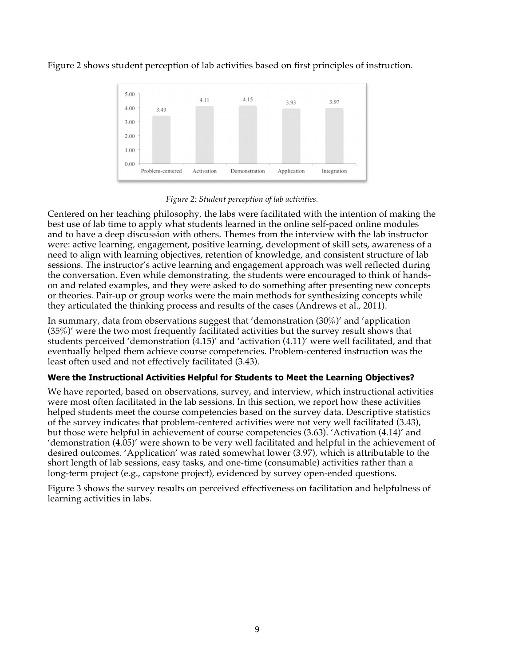Figure 2 shows student perception of lab activities based on first principles of instruction.



*Figure 2: Student perception of lab activities.*

Centered on her teaching philosophy, the labs were facilitated with the intention of making the best use of lab time to apply what students learned in the online self-paced online modules and to have a deep discussion with others. Themes from the interview with the lab instructor were: active learning, engagement, positive learning, development of skill sets, awareness of a need to align with learning objectives, retention of knowledge, and consistent structure of lab sessions. The instructor's active learning and engagement approach was well reflected during the conversation. Even while demonstrating, the students were encouraged to think of handson and related examples, and they were asked to do something after presenting new concepts or theories. Pair-up or group works were the main methods for synthesizing concepts while they articulated the thinking process and results of the cases (Andrews et al., 2011).

In summary, data from observations suggest that 'demonstration (30%)' and 'application (35%)' were the two most frequently facilitated activities but the survey result shows that students perceived 'demonstration (4.15)' and 'activation (4.11)' were well facilitated, and that eventually helped them achieve course competencies. Problem-centered instruction was the least often used and not effectively facilitated (3.43).

### **Were the Instructional Activities Helpful for Students to Meet the Learning Objectives?**

We have reported, based on observations, survey, and interview, which instructional activities were most often facilitated in the lab sessions. In this section, we report how these activities helped students meet the course competencies based on the survey data. Descriptive statistics of the survey indicates that problem-centered activities were not very well facilitated (3.43), but those were helpful in achievement of course competencies (3.63). 'Activation (4.14)' and 'demonstration (4.05)' were shown to be very well facilitated and helpful in the achievement of desired outcomes. 'Application' was rated somewhat lower (3.97), which is attributable to the short length of lab sessions, easy tasks, and one-time (consumable) activities rather than a long-term project (e.g., capstone project), evidenced by survey open-ended questions.

Figure 3 shows the survey results on perceived effectiveness on facilitation and helpfulness of learning activities in labs.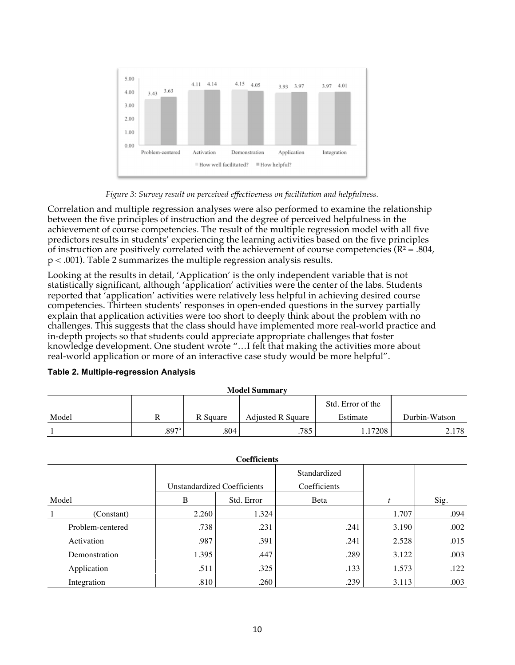

*Figure 3: Survey result on perceived effectiveness on facilitation and helpfulness.*

Correlation and multiple regression analyses were also performed to examine the relationship between the five principles of instruction and the degree of perceived helpfulness in the achievement of course competencies. The result of the multiple regression model with all five predictors results in students' experiencing the learning activities based on the five principles of instruction are positively correlated with the achievement of course competencies ( $R^2 = .804$ , p < .001). Table 2 summarizes the multiple regression analysis results.

Looking at the results in detail, 'Application' is the only independent variable that is not statistically significant, although 'application' activities were the center of the labs. Students reported that 'application' activities were relatively less helpful in achieving desired course competencies. Thirteen students' responses in open-ended questions in the survey partially explain that application activities were too short to deeply think about the problem with no challenges. This suggests that the class should have implemented more real-world practice and in-depth projects so that students could appreciate appropriate challenges that foster knowledge development. One student wrote "…I felt that making the activities more about real-world application or more of an interactive case study would be more helpful".

**Table 2. Multiple-regression Analysis**

| <b>Model Summary</b> |                     |          |                          |                   |               |  |
|----------------------|---------------------|----------|--------------------------|-------------------|---------------|--|
|                      |                     |          |                          | Std. Error of the |               |  |
| Model                |                     | R Square | <b>Adjusted R Square</b> | Estimate          | Durbin-Watson |  |
|                      | $.897$ <sup>a</sup> | .804     | .785                     | 1.17208           | 2.178         |  |

| мочет эчиниат у |                     |                   |                          |          |               |  |
|-----------------|---------------------|-------------------|--------------------------|----------|---------------|--|
|                 |                     | Std. Error of the |                          |          |               |  |
| Model           |                     | R Square          | <b>Adjusted R Square</b> | Estimate | Durbin-Watson |  |
|                 | $.897$ <sup>a</sup> | .804              | .785                     | .17208   | 2.178         |  |

| <b>Coefficients</b> |                                    |            |              |       |      |  |  |
|---------------------|------------------------------------|------------|--------------|-------|------|--|--|
|                     |                                    |            | Standardized |       |      |  |  |
|                     | <b>Unstandardized Coefficients</b> |            | Coefficients |       |      |  |  |
| Model               | B                                  | Std. Error | Beta         |       | Sig. |  |  |
| (Constant)          | 2.260                              | 1.324      |              | 1.707 | .094 |  |  |
| Problem-centered    | .738                               | .231       | .241         | 3.190 | .002 |  |  |
| Activation          | .987                               | .391       | .241         | 2.528 | .015 |  |  |
| Demonstration       | 1.395                              | .447       | .289         | 3.122 | .003 |  |  |
| Application         | .511                               | .325       | .133         | 1.573 | .122 |  |  |
| Integration         | .810                               | .260       | .239         | 3.113 | .003 |  |  |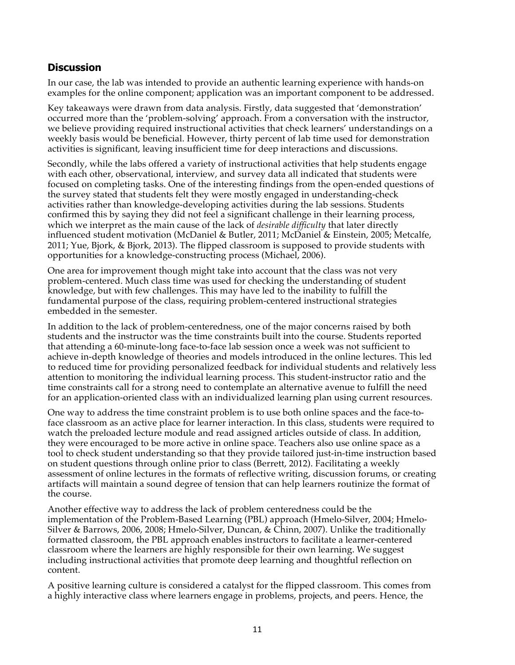### **Discussion**

In our case, the lab was intended to provide an authentic learning experience with hands-on examples for the online component; application was an important component to be addressed.

Key takeaways were drawn from data analysis. Firstly, data suggested that 'demonstration' occurred more than the 'problem-solving' approach. From a conversation with the instructor, we believe providing required instructional activities that check learners' understandings on a weekly basis would be beneficial. However, thirty percent of lab time used for demonstration activities is significant, leaving insufficient time for deep interactions and discussions.

Secondly, while the labs offered a variety of instructional activities that help students engage with each other, observational, interview, and survey data all indicated that students were focused on completing tasks. One of the interesting findings from the open-ended questions of the survey stated that students felt they were mostly engaged in understanding-check activities rather than knowledge-developing activities during the lab sessions. Students confirmed this by saying they did not feel a significant challenge in their learning process, which we interpret as the main cause of the lack of *desirable difficulty* that later directly influenced student motivation (McDaniel & Butler, 2011; McDaniel & Einstein, 2005; Metcalfe, 2011; Yue, Bjork, & Bjork, 2013). The flipped classroom is supposed to provide students with opportunities for a knowledge-constructing process (Michael, 2006).

One area for improvement though might take into account that the class was not very problem-centered. Much class time was used for checking the understanding of student knowledge, but with few challenges. This may have led to the inability to fulfill the fundamental purpose of the class, requiring problem-centered instructional strategies embedded in the semester.

In addition to the lack of problem-centeredness, one of the major concerns raised by both students and the instructor was the time constraints built into the course. Students reported that attending a 60-minute-long face-to-face lab session once a week was not sufficient to achieve in-depth knowledge of theories and models introduced in the online lectures. This led to reduced time for providing personalized feedback for individual students and relatively less attention to monitoring the individual learning process. This student-instructor ratio and the time constraints call for a strong need to contemplate an alternative avenue to fulfill the need for an application-oriented class with an individualized learning plan using current resources.

One way to address the time constraint problem is to use both online spaces and the face-toface classroom as an active place for learner interaction. In this class, students were required to watch the preloaded lecture module and read assigned articles outside of class. In addition, they were encouraged to be more active in online space. Teachers also use online space as a tool to check student understanding so that they provide tailored just-in-time instruction based on student questions through online prior to class (Berrett, 2012). Facilitating a weekly assessment of online lectures in the formats of reflective writing, discussion forums, or creating artifacts will maintain a sound degree of tension that can help learners routinize the format of the course.

Another effective way to address the lack of problem centeredness could be the implementation of the Problem-Based Learning (PBL) approach (Hmelo-Silver, 2004; Hmelo-Silver & Barrows, 2006, 2008; Hmelo-Silver, Duncan, & Chinn, 2007). Unlike the traditionally formatted classroom, the PBL approach enables instructors to facilitate a learner-centered classroom where the learners are highly responsible for their own learning. We suggest including instructional activities that promote deep learning and thoughtful reflection on content.

A positive learning culture is considered a catalyst for the flipped classroom. This comes from a highly interactive class where learners engage in problems, projects, and peers. Hence, the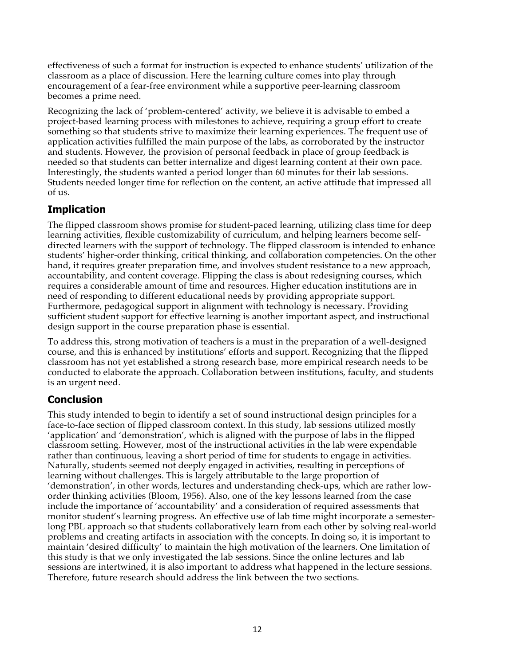effectiveness of such a format for instruction is expected to enhance students' utilization of the classroom as a place of discussion. Here the learning culture comes into play through encouragement of a fear-free environment while a supportive peer-learning classroom becomes a prime need.

Recognizing the lack of 'problem-centered' activity, we believe it is advisable to embed a project-based learning process with milestones to achieve, requiring a group effort to create something so that students strive to maximize their learning experiences. The frequent use of application activities fulfilled the main purpose of the labs, as corroborated by the instructor and students. However, the provision of personal feedback in place of group feedback is needed so that students can better internalize and digest learning content at their own pace. Interestingly, the students wanted a period longer than 60 minutes for their lab sessions. Students needed longer time for reflection on the content, an active attitude that impressed all of us.

# **Implication**

The flipped classroom shows promise for student-paced learning, utilizing class time for deep learning activities, flexible customizability of curriculum, and helping learners become selfdirected learners with the support of technology. The flipped classroom is intended to enhance students' higher-order thinking, critical thinking, and collaboration competencies. On the other hand, it requires greater preparation time, and involves student resistance to a new approach, accountability, and content coverage. Flipping the class is about redesigning courses, which requires a considerable amount of time and resources. Higher education institutions are in need of responding to different educational needs by providing appropriate support. Furthermore, pedagogical support in alignment with technology is necessary. Providing sufficient student support for effective learning is another important aspect, and instructional design support in the course preparation phase is essential.

To address this, strong motivation of teachers is a must in the preparation of a well-designed course, and this is enhanced by institutions' efforts and support. Recognizing that the flipped classroom has not yet established a strong research base, more empirical research needs to be conducted to elaborate the approach. Collaboration between institutions, faculty, and students is an urgent need.

# **Conclusion**

This study intended to begin to identify a set of sound instructional design principles for a face-to-face section of flipped classroom context. In this study, lab sessions utilized mostly 'application' and 'demonstration', which is aligned with the purpose of labs in the flipped classroom setting. However, most of the instructional activities in the lab were expendable rather than continuous, leaving a short period of time for students to engage in activities. Naturally, students seemed not deeply engaged in activities, resulting in perceptions of learning without challenges. This is largely attributable to the large proportion of 'demonstration', in other words, lectures and understanding check-ups, which are rather loworder thinking activities (Bloom, 1956). Also, one of the key lessons learned from the case include the importance of 'accountability' and a consideration of required assessments that monitor student's learning progress. An effective use of lab time might incorporate a semesterlong PBL approach so that students collaboratively learn from each other by solving real-world problems and creating artifacts in association with the concepts. In doing so, it is important to maintain 'desired difficulty' to maintain the high motivation of the learners. One limitation of this study is that we only investigated the lab sessions. Since the online lectures and lab sessions are intertwined, it is also important to address what happened in the lecture sessions. Therefore, future research should address the link between the two sections.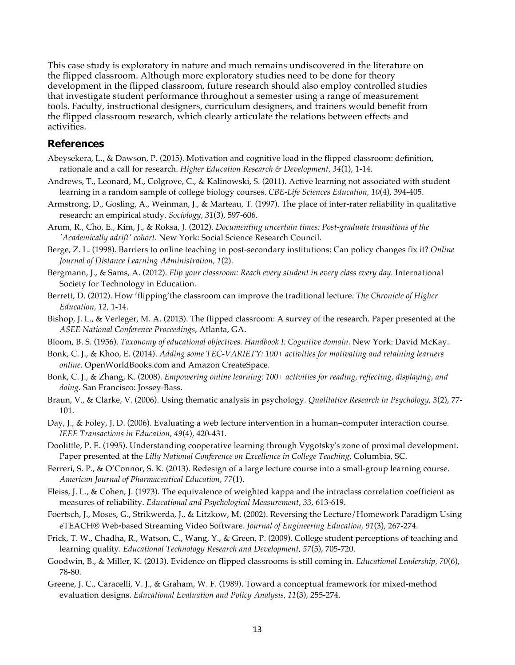This case study is exploratory in nature and much remains undiscovered in the literature on the flipped classroom. Although more exploratory studies need to be done for theory development in the flipped classroom, future research should also employ controlled studies that investigate student performance throughout a semester using a range of measurement tools. Faculty, instructional designers, curriculum designers, and trainers would benefit from the flipped classroom research, which clearly articulate the relations between effects and activities.

### **References**

- Abeysekera, L., & Dawson, P. (2015). Motivation and cognitive load in the flipped classroom: definition, rationale and a call for research. *Higher Education Research & Development, 34*(1), 1-14.
- Andrews, T., Leonard, M., Colgrove, C., & Kalinowski, S. (2011). Active learning not associated with student learning in a random sample of college biology courses. *CBE-Life Sciences Education, 10*(4), 394-405.
- Armstrong, D., Gosling, A., Weinman, J., & Marteau, T. (1997). The place of inter-rater reliability in qualitative research: an empirical study. *Sociology, 31*(3), 597-606.
- Arum, R., Cho, E., Kim, J., & Roksa, J. (2012). *Documenting uncertain times: Post-graduate transitions of the 'Academically adrift' cohort.* New York: Social Science Research Council.
- Berge, Z. L. (1998). Barriers to online teaching in post-secondary institutions: Can policy changes fix it? *Online Journal of Distance Learning Administration, 1*(2).
- Bergmann, J., & Sams, A. (2012). *Flip your classroom: Reach every student in every class every day.* International Society for Technology in Education.
- Berrett, D. (2012). How 'flipping'the classroom can improve the traditional lecture. *The Chronicle of Higher Education, 12,* 1-14.
- Bishop, J. L., & Verleger, M. A. (2013). The flipped classroom: A survey of the research. Paper presented at the *ASEE National Conference Proceedings*, Atlanta, GA.
- Bloom, B. S. (1956). *Taxonomy of educational objectives. Handbook I: Cognitive domain.* New York: David McKay.
- Bonk, C. J., & Khoo, E. (2014). *Adding some TEC-VARIETY: 100+ activities for motivating and retaining learners online*. OpenWorldBooks.com and Amazon CreateSpace.
- Bonk, C. J., & Zhang, K. (2008). *Empowering online learning: 100+ activities for reading, reflecting, displaying, and doing.* San Francisco: Jossey-Bass.
- Braun, V., & Clarke, V. (2006). Using thematic analysis in psychology. *Qualitative Research in Psychology, 3*(2), 77- 101.
- Day, J., & Foley, J. D. (2006). Evaluating a web lecture intervention in a human–computer interaction course. *IEEE Transactions in Education, 49*(4), 420-431.
- Doolittle, P. E. (1995). Understanding cooperative learning through Vygotsky's zone of proximal development. Paper presented at the *Lilly National Conference on Excellence in College Teaching*, Columbia, SC.
- Ferreri, S. P., & O'Connor, S. K. (2013). Redesign of a large lecture course into a small-group learning course. *American Journal of Pharmaceutical Education, 77*(1).
- Fleiss, J. L., & Cohen, J. (1973). The equivalence of weighted kappa and the intraclass correlation coefficient as measures of reliability. *Educational and Psychological Measurement, 33,* 613-619.
- Foertsch, J., Moses, G., Strikwerda, J., & Litzkow, M. (2002). Reversing the Lecture/Homework Paradigm Using eTEACH® Web-based Streaming Video Software. *Journal of Engineering Education, 91*(3), 267-274.
- Frick, T. W., Chadha, R., Watson, C., Wang, Y., & Green, P. (2009). College student perceptions of teaching and learning quality. *Educational Technology Research and Development, 57*(5), 705-720.
- Goodwin, B., & Miller, K. (2013). Evidence on flipped classrooms is still coming in. *Educational Leadership, 70*(6), 78-80.
- Greene, J. C., Caracelli, V. J., & Graham, W. F. (1989). Toward a conceptual framework for mixed-method evaluation designs. *Educational Evaluation and Policy Analysis, 11*(3), 255-274.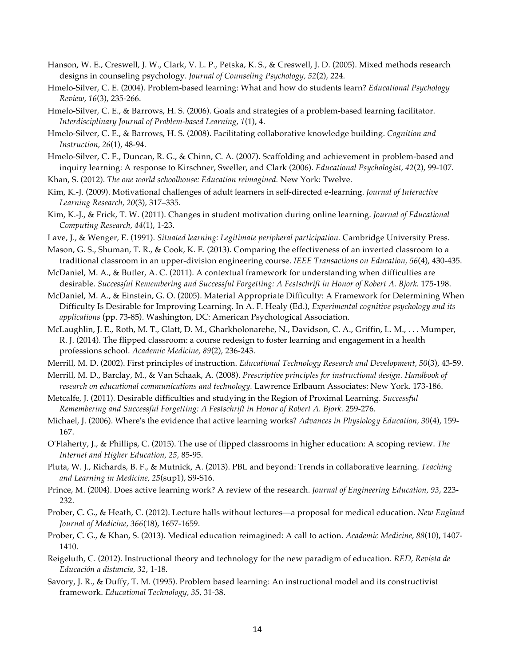- Hanson, W. E., Creswell, J. W., Clark, V. L. P., Petska, K. S., & Creswell, J. D. (2005). Mixed methods research designs in counseling psychology. *Journal of Counseling Psychology, 52*(2), 224.
- Hmelo-Silver, C. E. (2004). Problem-based learning: What and how do students learn? *Educational Psychology Review, 16*(3), 235-266.
- Hmelo-Silver, C. E., & Barrows, H. S. (2006). Goals and strategies of a problem-based learning facilitator. *Interdisciplinary Journal of Problem-based Learning, 1*(1), 4.
- Hmelo-Silver, C. E., & Barrows, H. S. (2008). Facilitating collaborative knowledge building. *Cognition and Instruction, 26*(1), 48-94.
- Hmelo-Silver, C. E., Duncan, R. G., & Chinn, C. A. (2007). Scaffolding and achievement in problem-based and inquiry learning: A response to Kirschner, Sweller, and Clark (2006). *Educational Psychologist, 42*(2), 99-107.
- Khan, S. (2012). *The one world schoolhouse: Education reimagined.* New York: Twelve.
- Kim, K.-J. (2009). Motivational challenges of adult learners in self-directed e-learning. *Journal of Interactive Learning Research, 20*(3), 317–335.
- Kim, K.-J., & Frick, T. W. (2011). Changes in student motivation during online learning. *Journal of Educational Computing Research, 44*(1), 1-23.
- Lave, J., & Wenger, E. (1991). *Situated learning: Legitimate peripheral participation.* Cambridge University Press.
- Mason, G. S., Shuman, T. R., & Cook, K. E. (2013). Comparing the effectiveness of an inverted classroom to a traditional classroom in an upper-division engineering course. *IEEE Transactions on Education, 56*(4), 430-435.
- McDaniel, M. A., & Butler, A. C. (2011). A contextual framework for understanding when difficulties are desirable. *Successful Remembering and Successful Forgetting: A Festschrift in Honor of Robert A. Bjork.* 175-198.
- McDaniel, M. A., & Einstein, G. O. (2005). Material Appropriate Difficulty: A Framework for Determining When Difficulty Is Desirable for Improving Learning. In A. F. Healy (Ed.), *Experimental cognitive psychology and its applications* (pp. 73-85). Washington, DC: American Psychological Association.
- McLaughlin, J. E., Roth, M. T., Glatt, D. M., Gharkholonarehe, N., Davidson, C. A., Griffin, L. M., . . . Mumper, R. J. (2014). The flipped classroom: a course redesign to foster learning and engagement in a health professions school. *Academic Medicine, 89*(2), 236-243.
- Merrill, M. D. (2002). First principles of instruction. *Educational Technology Research and Development, 50*(3), 43-59.
- Merrill, M. D., Barclay, M., & Van Schaak, A. (2008). *Prescriptive principles for instructional design. Handbook of research on educational communications and technology.* Lawrence Erlbaum Associates: New York. 173-186.
- Metcalfe, J. (2011). Desirable difficulties and studying in the Region of Proximal Learning. *Successful Remembering and Successful Forgetting: A Festschrift in Honor of Robert A. Bjork.* 259-276.
- Michael, J. (2006). Where's the evidence that active learning works? *Advances in Physiology Education, 30*(4), 159- 167.
- O'Flaherty, J., & Phillips, C. (2015). The use of flipped classrooms in higher education: A scoping review. *The Internet and Higher Education, 25,* 85-95.
- Pluta, W. J., Richards, B. F., & Mutnick, A. (2013). PBL and beyond: Trends in collaborative learning. *Teaching and Learning in Medicine, 25*(sup1), S9-S16.
- Prince, M. (2004). Does active learning work? A review of the research. *Journal of Engineering Education, 93*, 223- 232.
- Prober, C. G., & Heath, C. (2012). Lecture halls without lectures—a proposal for medical education. *New England Journal of Medicine, 366*(18), 1657-1659.
- Prober, C. G., & Khan, S. (2013). Medical education reimagined: A call to action. *Academic Medicine, 88*(10), 1407- 1410.
- Reigeluth, C. (2012). Instructional theory and technology for the new paradigm of education. *RED, Revista de Educación a distancia, 32*, 1-18.
- Savory, J. R., & Duffy, T. M. (1995). Problem based learning: An instructional model and its constructivist framework. *Educational Technology, 35,* 31-38.